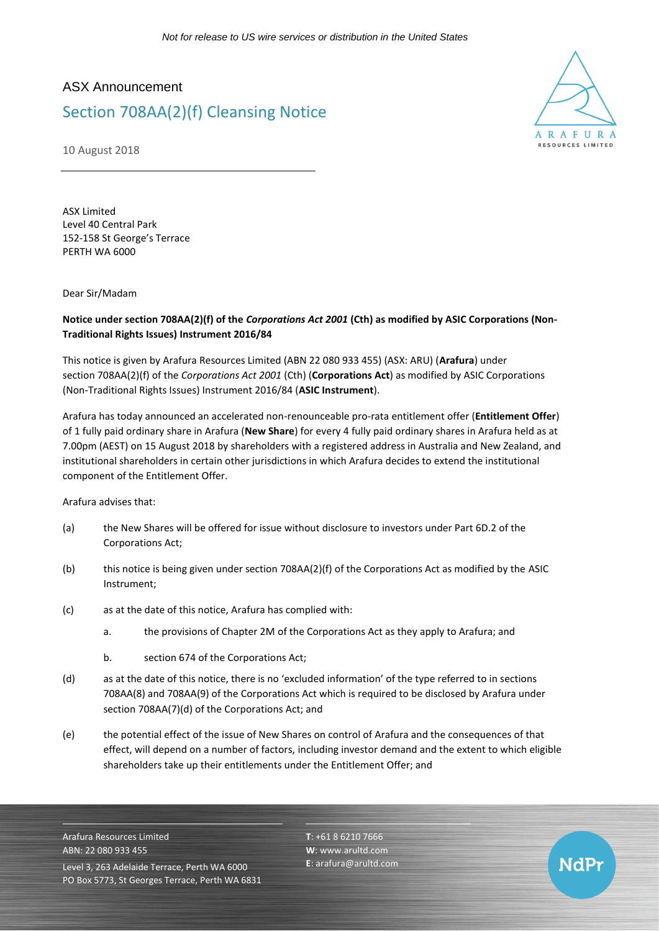## ASX Announcement

## Section 708AA(2)(f) Cleansing Notice



NdPr

10 August 2018

ASX Limited Level 40 Central Park 152-158 St George's Terrace PERTH WA 6000

Dear Sir/Madam

## **Notice under section 708AA(2)(f) of the** *Corporations Act 2001* **(Cth) as modified by ASIC Corporations (Non-Traditional Rights Issues) Instrument 2016/84**

This notice is given by Arafura Resources Limited (ABN 22 080 933 455) (ASX: ARU) (**Arafura**) under section 708AA(2)(f) of the *Corporations Act 2001* (Cth) (**Corporations Act**) as modified by ASIC Corporations (Non-Traditional Rights Issues) Instrument 2016/84 (**ASIC Instrument**).

Arafura has today announced an accelerated non-renounceable pro-rata entitlement offer (**Entitlement Offer**) of 1 fully paid ordinary share in Arafura (**New Share**) for every 4 fully paid ordinary shares in Arafura held as at 7.00pm (AEST) on 15 August 2018 by shareholders with a registered address in Australia and New Zealand, and institutional shareholders in certain other jurisdictions in which Arafura decides to extend the institutional component of the Entitlement Offer.

Arafura advises that:

- (a) the New Shares will be offered for issue without disclosure to investors under Part 6D.2 of the Corporations Act;
- (b) this notice is being given under section 708AA(2)(f) of the Corporations Act as modified by the ASIC Instrument;
- (c) as at the date of this notice, Arafura has complied with:
	- a. the provisions of Chapter 2M of the Corporations Act as they apply to Arafura; and
	- b. section 674 of the Corporations Act;
- (d) as at the date of this notice, there is no 'excluded information' of the type referred to in sections 708AA(8) and 708AA(9) of the Corporations Act which is required to be disclosed by Arafura under section 708AA(7)(d) of the Corporations Act; and
- (e) the potential effect of the issue of New Shares on control of Arafura and the consequences of that effect, will depend on a number of factors, including investor demand and the extent to which eligible shareholders take up their entitlements under the Entitlement Offer; and

Arafura Resources Limited ABN: 22 080 933 455 Level 3, 263 Adelaide Terrace, Perth WA 6000 PO Box 5773, St Georges Terrace, Perth WA 6831 **T**: +61 8 6210 7666 **W**: [www.arultd.com](http://www.arultd.com/) **E**[: arafura@arultd.com](mailto:arafura@arultd.com)